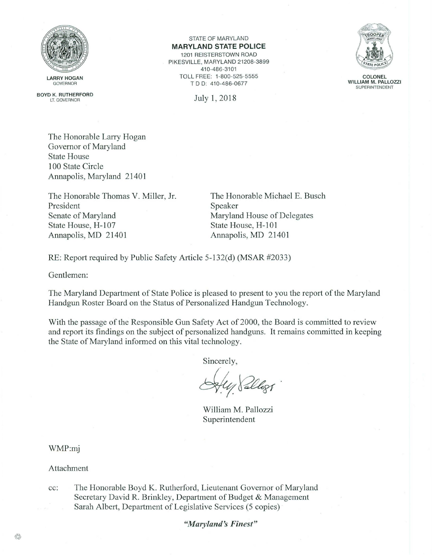

BOYD K. RUTHERFORD LT. GOVERNOR

 $STATE$  OF MARYLAND **MARYLAND STATE POLICE**  1201 REISTERSTOWN ROAD PIKESVILLE, MARYLAND 21208-3899 410-486-3101 TOLL FREE: 1-800-525-5555 TDD: 410-486-0677





**COLONEL WILLIAM M. PALLOZZI**  SUPERINTENDENT

The Honorable Larry Hogan Governor of Maryland State House 100 State Circle Annapolis, Maryland 21401

The Honorable Thomas V. Miller, Jr. President Senate of Maryland State House, H-107 Annapolis, MD 21401

The Honorable Michael E. Busch Speaker Maryland House of Delegates State House, H-101 Annapolis, MD 21401

RE: Report required by Public Safety Article 5-132(d) (MSAR #2033)

Gentlemen:

The Maryland Department of State Police is pleased to present to you the report of the Maryland Handgun Roster Board on the Status of Personalized Handgun Technology.

With the passage of the Responsible Gun Safety Act of 2000, the Board is committed to review and report its findings on the subject of personalized handguns. It remains committed in keeping the State of Maryland informed on this vital technology.

Sincerely,

 $\mathcal{Q}(4)$  Pallogs.

William M. Pallozzi Superintendent

WMP:mj

Attachment

cc: The Honorable Boyd K. Rutherford, Lieutenant Governor of Maryland Secretary David R. Brinkley, Department of Budget & Management Sarah Albert, Department of Legislative Services (5 copies)

"Maryland's Finest"